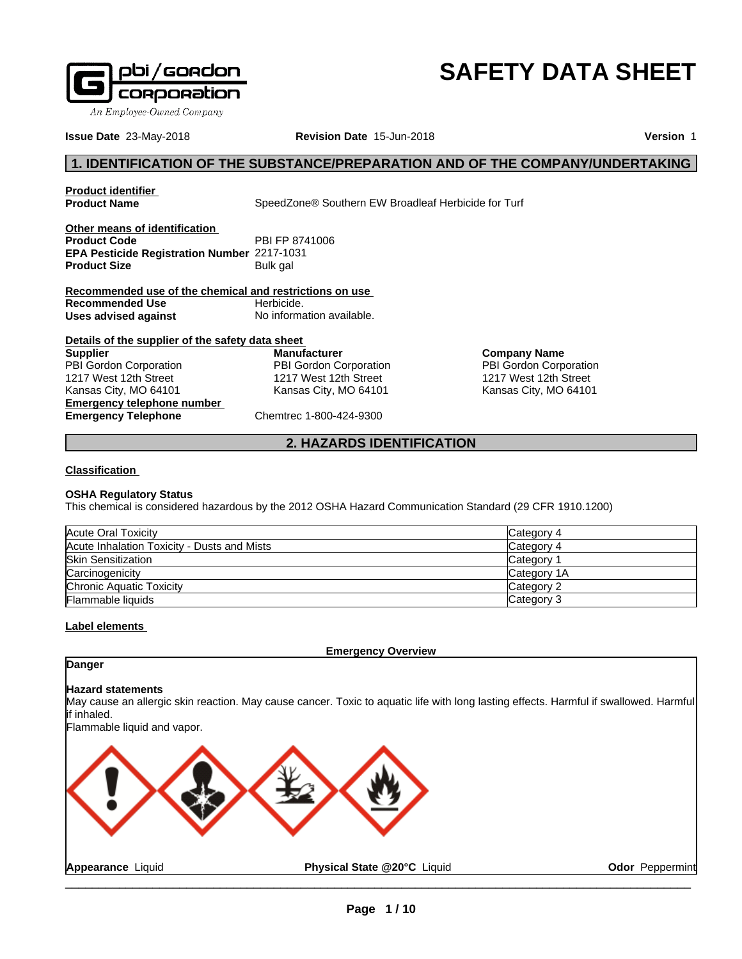

# **SAFETY DATA SHEET**

**Company Name** PBI Gordon Corporation 1217 West 12th Street Kansas City, MO 64101

**Issue Date** 23-May-2018 **Revision Date** 15-Jun-2018 **Version** 1

## **1. IDENTIFICATION OF THE SUBSTANCE/PREPARATION AND OF THE COMPANY/UNDERTAKING**

**Product identifier**

**SpeedZone® Southern EW Broadleaf Herbicide for Turf** 

**Other means of identification Product Code** PBI FP 8741006 **EPA Pesticide Registration Number** 2217-1031 **Product Size** Bulk gal

**Recommended use of the chemical and restrictions on use Recommended Use Herbicide. Uses advised against** No information available.

| Details of the supplier of the safety data sheet |                         |
|--------------------------------------------------|-------------------------|
| <b>Supplier</b>                                  | <b>Manufacturer</b>     |
| PBI Gordon Corporation                           | PBI Gordon Corporation  |
| 1217 West 12th Street                            | 1217 West 12th Street   |
| Kansas City, MO 64101                            | Kansas City, MO 64101   |
| <b>Emergency telephone number</b>                |                         |
| <b>Emergency Telephone</b>                       | Chemtrec 1-800-424-9300 |

**Macturer** *<u>i</u>*ordon Corporation West 12th Street as City, MO 64101

### **2. HAZARDS IDENTIFICATION**

#### **Classification**

#### **OSHA Regulatory Status**

This chemical is considered hazardous by the 2012 OSHA Hazard Communication Standard (29 CFR 1910.1200)

| Acute Oral Toxicity                         | Category 4  |
|---------------------------------------------|-------------|
| Acute Inhalation Toxicity - Dusts and Mists | Category 4  |
| <b>Skin Sensitization</b>                   | Category    |
| Carcinogenicity                             | Category 1A |
| Chronic Aquatic Toxicity                    | Category 2  |
| <b>Flammable liquids</b>                    | Category 3  |

### **Label elements**

**Emergency Overview**

### **Danger**

#### **Hazard statements**

May cause an allergic skin reaction. May cause cancer. Toxic to aquatic life with long lasting effects. Harmful if swallowed. Harmful if inhaled.

Flammable liquid and vapor.

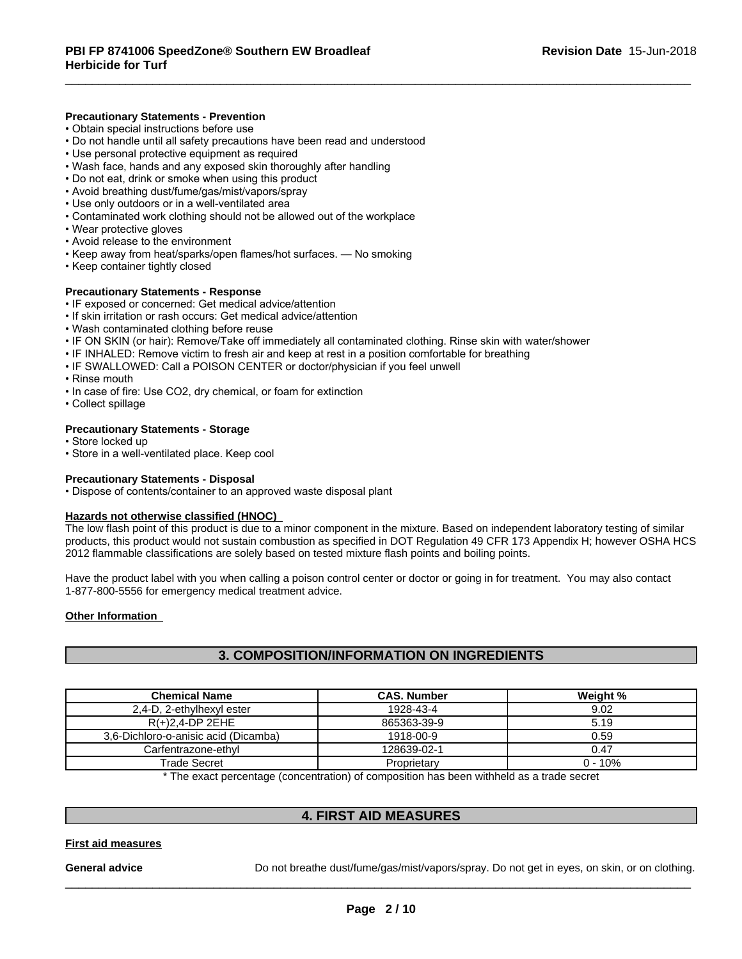#### **Precautionary Statements - Prevention**

- Obtain special instructions before use
- Do not handle until all safety precautions have been read and understood
- Use personal protective equipment as required
- Wash face, hands and any exposed skin thoroughly after handling
- Do not eat, drink or smoke when using this product
- Avoid breathing dust/fume/gas/mist/vapors/spray
- Use only outdoors or in a well-ventilated area
- Contaminated work clothing should not be allowed out of the workplace
- Wear protective gloves
- Avoid release to the environment
- Keep away from heat/sparks/open flames/hot surfaces. No smoking
- Keep container tightly closed

#### **Precautionary Statements - Response**

- IF exposed or concerned: Get medical advice/attention
- If skin irritation or rash occurs: Get medical advice/attention
- Wash contaminated clothing before reuse
- IF ON SKIN (or hair): Remove/Take off immediately all contaminated clothing. Rinse skin with water/shower
- IF INHALED: Remove victim to fresh air and keep at rest in a position comfortable for breathing
- IF SWALLOWED: Call a POISON CENTER or doctor/physician if you feel unwell
- Rinse mouth
- In case of fire: Use CO2, dry chemical, or foam for extinction
- Collect spillage

#### **Precautionary Statements - Storage**

- Store locked up
- Store in a well-ventilated place. Keep cool

#### **Precautionary Statements - Disposal**

• Dispose of contents/container to an approved waste disposal plant

#### **Hazards not otherwise classified (HNOC)**

The low flash point of this product is due to a minor component in the mixture. Based on independent laboratory testing of similar products, this product would not sustain combustion as specified in DOT Regulation 49 CFR 173 Appendix H; however OSHA HCS 2012 flammable classifications are solely based on tested mixture flash points and boiling points.

Have the product label with you when calling a poison control center or doctor or going in for treatment. You may also contact 1-877-800-5556 for emergency medical treatment advice.

#### **Other Information**

### **3. COMPOSITION/INFORMATION ON INGREDIENTS**

| <b>Chemical Name</b>                 | <b>CAS. Number</b>                                                                                       | Weight %   |
|--------------------------------------|----------------------------------------------------------------------------------------------------------|------------|
| 2,4-D, 2-ethylhexyl ester            | 1928-43-4                                                                                                | 9.02       |
| $R(+)2,4$ -DP 2EHE                   | 865363-39-9                                                                                              | 5.19       |
| 3,6-Dichloro-o-anisic acid (Dicamba) | 1918-00-9                                                                                                | 0.59       |
| Carfentrazone-ethyl                  | 128639-02-1                                                                                              | 0.47       |
| Trade Secret                         | Proprietary                                                                                              | $0 - 10\%$ |
|                                      | * The consent a succession of securities and states are the states to see infinite the security security |            |

The exact percentage (concentration) of composition has been withheld as a trade secret

### **4. FIRST AID MEASURES**

#### **First aid measures**

General **advice Do not breathe dust/fume/gas/mist/vapors/spray. Do not get in eyes, on skin, or on clothing.**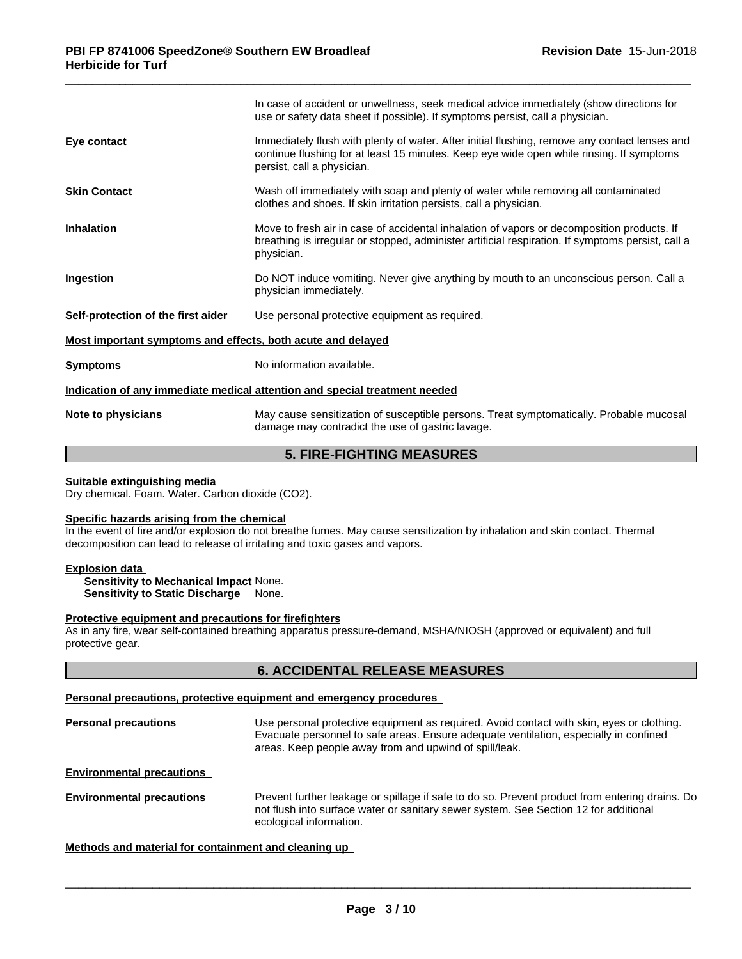|                                                             | In case of accident or unwellness, seek medical advice immediately (show directions for<br>use or safety data sheet if possible). If symptoms persist, call a physician.                                                |
|-------------------------------------------------------------|-------------------------------------------------------------------------------------------------------------------------------------------------------------------------------------------------------------------------|
| Eye contact                                                 | Immediately flush with plenty of water. After initial flushing, remove any contact lenses and<br>continue flushing for at least 15 minutes. Keep eye wide open while rinsing. If symptoms<br>persist, call a physician. |
| <b>Skin Contact</b>                                         | Wash off immediately with soap and plenty of water while removing all contaminated<br>clothes and shoes. If skin irritation persists, call a physician.                                                                 |
| <b>Inhalation</b>                                           | Move to fresh air in case of accidental inhalation of vapors or decomposition products. If<br>breathing is irregular or stopped, administer artificial respiration. If symptoms persist, call a<br>physician.           |
| Ingestion                                                   | Do NOT induce vomiting. Never give anything by mouth to an unconscious person. Call a<br>physician immediately.                                                                                                         |
| Self-protection of the first aider                          | Use personal protective equipment as required.                                                                                                                                                                          |
| Most important symptoms and effects, both acute and delayed |                                                                                                                                                                                                                         |
| <b>Symptoms</b>                                             | No information available.                                                                                                                                                                                               |
|                                                             | Indication of any immediate medical attention and special treatment needed                                                                                                                                              |
| Note to physicians                                          | May cause sensitization of susceptible persons. Treat symptomatically. Probable mucosal<br>damage may contradict the use of gastric lavage.                                                                             |
|                                                             |                                                                                                                                                                                                                         |

### **5. FIRE-FIGHTING MEASURES**

#### **Suitable extinguishing media**

Dry chemical. Foam. Water. Carbon dioxide (CO2).

#### **Specific hazards arising from the chemical**

In the event of fire and/or explosion do not breathe fumes. May cause sensitization by inhalation and skin contact. Thermal decomposition can lead to release of irritating and toxic gases and vapors.

#### **Explosion data**

**Sensitivity to Mechanical Impact** None. **Sensitivity to Static Discharge** None.

#### **Protective equipment and precautions for firefighters**

As in any fire, wear self-contained breathing apparatus pressure-demand, MSHA/NIOSH (approved or equivalent) and full protective gear.

### **6. ACCIDENTAL RELEASE MEASURES**

### **Personal precautions, protective equipment and emergency procedures**

**Personal precautions** Use personal protective equipment as required. Avoid contact with skin, eyes or clothing. Evacuate personnel to safe areas. Ensure adequate ventilation, especially in confined areas. Keep people away from and upwind of spill/leak.

**Environmental precautions**

**Environmental precautions** Prevent further leakage or spillage if safe to do so. Prevent product from entering drains. Do not flush into surface water or sanitary sewer system. See Section 12 for additional ecological information.

 $\overline{\phantom{a}}$  ,  $\overline{\phantom{a}}$  ,  $\overline{\phantom{a}}$  ,  $\overline{\phantom{a}}$  ,  $\overline{\phantom{a}}$  ,  $\overline{\phantom{a}}$  ,  $\overline{\phantom{a}}$  ,  $\overline{\phantom{a}}$  ,  $\overline{\phantom{a}}$  ,  $\overline{\phantom{a}}$  ,  $\overline{\phantom{a}}$  ,  $\overline{\phantom{a}}$  ,  $\overline{\phantom{a}}$  ,  $\overline{\phantom{a}}$  ,  $\overline{\phantom{a}}$  ,  $\overline{\phantom{a}}$ 

#### **Methods and material for containment and cleaning up**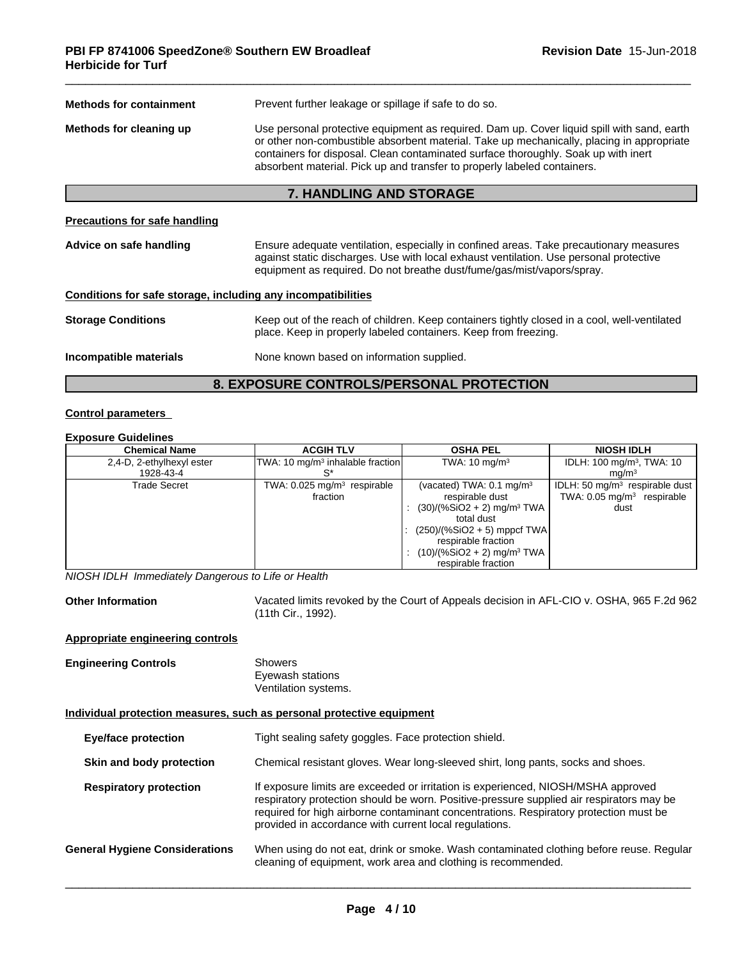| <b>Methods for containment</b>                               | Prevent further leakage or spillage if safe to do so.                                                                                                                                                                                                                                                                                                     |  |
|--------------------------------------------------------------|-----------------------------------------------------------------------------------------------------------------------------------------------------------------------------------------------------------------------------------------------------------------------------------------------------------------------------------------------------------|--|
| Methods for cleaning up                                      | Use personal protective equipment as required. Dam up. Cover liquid spill with sand, earth<br>or other non-combustible absorbent material. Take up mechanically, placing in appropriate<br>containers for disposal. Clean contaminated surface thoroughly. Soak up with inert<br>absorbent material. Pick up and transfer to properly labeled containers. |  |
|                                                              | 7. HANDLING AND STORAGE                                                                                                                                                                                                                                                                                                                                   |  |
| Precautions for safe handling                                |                                                                                                                                                                                                                                                                                                                                                           |  |
| Advice on safe handling                                      | Ensure adequate ventilation, especially in confined areas. Take precautionary measures<br>against static discharges. Use with local exhaust ventilation. Use personal protective<br>equipment as required. Do not breathe dust/fume/gas/mist/vapors/spray.                                                                                                |  |
| Conditions for safe storage, including any incompatibilities |                                                                                                                                                                                                                                                                                                                                                           |  |
| <b>Storage Conditions</b>                                    | Keep out of the reach of children. Keep containers tightly closed in a cool, well-ventilated<br>place. Keep in properly labeled containers. Keep from freezing.                                                                                                                                                                                           |  |
| Incompatible materials                                       | None known based on information supplied.                                                                                                                                                                                                                                                                                                                 |  |
|                                                              | <b>8. EXPOSURE CONTROLS/PERSONAL PROTECTION</b>                                                                                                                                                                                                                                                                                                           |  |

#### **Control parameters**

#### **Exposure Guidelines**

| <b>Chemical Name</b>      | <b>ACGIH TLV</b>                             | <b>OSHA PEL</b>                          | <b>NIOSH IDLH</b>                     |
|---------------------------|----------------------------------------------|------------------------------------------|---------------------------------------|
| 2,4-D, 2-ethylhexyl ester | TWA: 10 mg/m <sup>3</sup> inhalable fraction | TWA: $10 \text{ mg/m}^3$                 | IDLH: 100 mg/m <sup>3</sup> , TWA: 10 |
| 1928-43-4                 |                                              |                                          | ma/m <sup>3</sup>                     |
| Trade Secret              | TWA: $0.025$ mg/m <sup>3</sup> respirable    | (vacated) TWA: $0.1 \text{ mg/m}^3$      | IDLH: 50 $mq/m3$ respirable dust      |
|                           | fraction                                     | respirable dust                          | TWA: $0.05 \text{ mg/m}^3$ respirable |
|                           |                                              | $(30)/(%SiO2 + 2)$ mg/m <sup>3</sup> TWA | dust                                  |
|                           |                                              | total dust                               |                                       |
|                           |                                              | $(250)/(%SiO2 + 5)$ mppcf TWA            |                                       |
|                           |                                              | respirable fraction                      |                                       |
|                           |                                              | $(10)/(%SiO2 + 2)$ mg/m <sup>3</sup> TWA |                                       |
|                           |                                              | respirable fraction                      |                                       |

*NIOSH IDLH Immediately Dangerous to Life or Health*

**Other Information** Vacated limits revoked by the Court of Appeals decision in AFL-CIO v.OSHA, 965 F.2d 962 (11th Cir., 1992).

### **Appropriate engineering controls**

| <b>Engineering Controls</b> | Showers              |
|-----------------------------|----------------------|
|                             | Eyewash stations     |
|                             | Ventilation systems. |

#### **Individual protection measures, such as personal protective equipment**

| <b>Eye/face protection</b>            | Tight sealing safety goggles. Face protection shield.                                                                                                                                                                                                                                                                            |
|---------------------------------------|----------------------------------------------------------------------------------------------------------------------------------------------------------------------------------------------------------------------------------------------------------------------------------------------------------------------------------|
| Skin and body protection              | Chemical resistant gloves. Wear long-sleeved shirt, long pants, socks and shoes.                                                                                                                                                                                                                                                 |
| <b>Respiratory protection</b>         | If exposure limits are exceeded or irritation is experienced, NIOSH/MSHA approved<br>respiratory protection should be worn. Positive-pressure supplied air respirators may be<br>required for high airborne contaminant concentrations. Respiratory protection must be<br>provided in accordance with current local regulations. |
| <b>General Hygiene Considerations</b> | When using do not eat, drink or smoke. Wash contaminated clothing before reuse. Regular<br>cleaning of equipment, work area and clothing is recommended.                                                                                                                                                                         |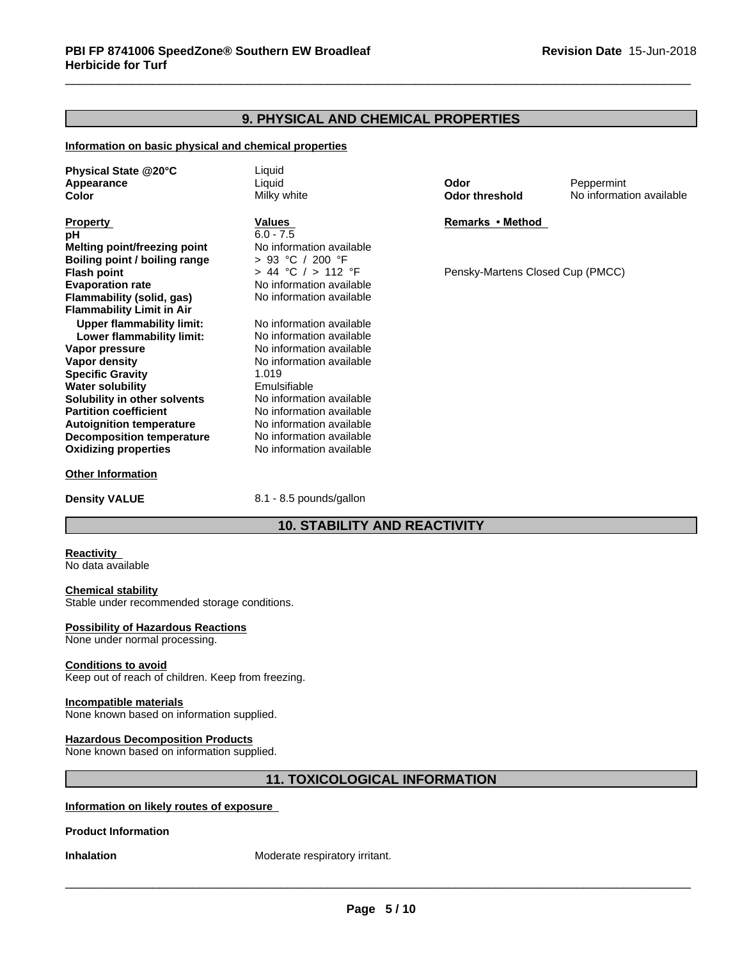### **9. PHYSICAL AND CHEMICAL PROPERTIES**

#### **Information on basic physical and chemical properties**

**Physical State @20°C** Liquid **Appearance** Liquid **Odor** Peppermint **Color** Milky white **Odor threshold** No information available

**Property Remarks •Method Values Remarks** •Method **pH** 6.0 - 7.5<br> **Melting point/freezing point** 6.0 - 7.5 **Melting point/freezing point** No information avail<br> **Boiling point / boiling range**  $\rightarrow$  93 °C / 200 °F **Boiling point / boiling range**  $\Rightarrow$  **93 °C / 200 °F<br>
<b>Flash point**  $\Rightarrow$  44 °C / > 112 °F **Evaporation rate rate** No information available<br> **Flammability (solid. gas)** No information available **Flammability** (solid, gas) **Flammability Limit in Air Upper flammability limit:** No information available<br> **Lower flammability limit:** No information available **Lower flammability limit:**<br>Vapor pressure **Vapor density** No information available **Specific Gravity** 1.019 **Water solubility**<br> **Solubility in other solvents** Mo information available **Solubility in other solvents** No information available<br> **Partition coefficient** No information available **Partition coefficient Autoignition temperature No information available**<br> **Decomposition temperature No information available Decomposition temperature** No information available<br> **Oxidizing properties** No information available **Oxidizing properties** 

**Other Information**

**Density VALUE** 8.1 - 8.5 pounds/gallon

**No information available** 

### **10. STABILITY AND REACTIVITY**

#### **Reactivity**

No data available

#### **Chemical stability**

Stable under recommended storage conditions.

### **Possibility of Hazardous Reactions**

None under normal processing.

#### **Conditions to avoid**

Keep out of reach of children. Keep from freezing.

#### **Incompatible materials**

None known based on information supplied.

#### **Hazardous Decomposition Products**

None known based on information supplied.

### **11. TOXICOLOGICAL INFORMATION**

### **Information on likely routes of exposure**

**Product Information**

**Inhalation** Moderate respiratory irritant.

**Pensky-Martens Closed Cup (PMCC)**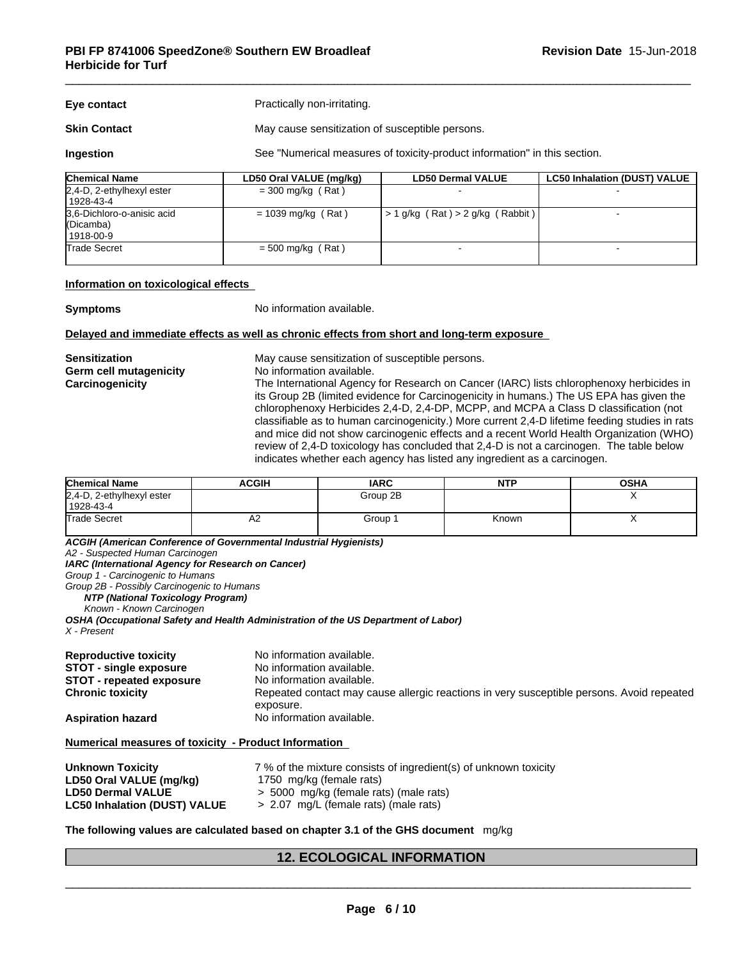| Eye contact         | Practically non-irritating.                     |
|---------------------|-------------------------------------------------|
| <b>Skin Contact</b> | May cause sensitization of susceptible persons. |

**Ingestion** See "Numerical measures of toxicity-product information" in this section.

| <b>Chemical Name</b>                                   | LD50 Oral VALUE (mg/kg) | <b>LD50 Dermal VALUE</b>                 | <b>LC50 Inhalation (DUST) VALUE</b> |
|--------------------------------------------------------|-------------------------|------------------------------------------|-------------------------------------|
| $2,4$ -D, 2-ethylhexyl ester<br>  1928-43-4            | $=$ 300 mg/kg (Rat)     |                                          |                                     |
| 3,6-Dichloro-o-anisic acid<br>(Dicamba)<br>  1918-00-9 | $= 1039$ mg/kg (Rat)    | $\vert$ > 1 g/kg (Rat) > 2 g/kg (Rabbit) |                                     |
| Trade Secret                                           | $= 500$ mg/kg (Rat)     |                                          |                                     |

#### **Information on toxicological effects**

**Symptoms** No information available.

#### **Delayed and immediate effects as well as chronic effects from short and long-term exposure**

**Germ cell mutagenicity** No information available.

**Sensitization** May cause sensitization of susceptible persons.

**Carcinogenicity** The International Agency for Research on Cancer (IARC) lists chlorophenoxy herbicides in its Group 2B (limited evidence for Carcinogenicity in humans.) The US EPA has given the chlorophenoxy Herbicides 2,4-D, 2,4-DP, MCPP, and MCPA a Class D classification (not classifiable as to human carcinogenicity.) More current 2,4-D lifetime feeding studies in rats and mice did not show carcinogenic effects and a recent World Health Organization (WHO) review of 2,4-D toxicology has concluded that 2,4-D is not a carcinogen. The table below indicates whether each agency has listed any ingredient as a carcinogen.

| <b>Chemical Name</b>                   | <b>ACGIH</b> | <b>IARC</b> | <b>NTP</b> | <b>OSHA</b> |
|----------------------------------------|--------------|-------------|------------|-------------|
| 2,4-D, 2-ethylhexyl ester<br>1928-43-4 |              | Group 2B    |            |             |
| Trade Secret                           | A2           | Group       | Known      |             |

*ACGIH (American Conference of Governmental Industrial Hygienists)*

*A2 - Suspected Human Carcinogen*

*IARC (International Agency for Research on Cancer)*

*Group 1 - Carcinogenic to Humans*

*Group 2B - Possibly Carcinogenic to Humans*

*NTP (National Toxicology Program)*

*Known - Known Carcinogen*

*OSHA (Occupational Safety and Health Administration of the US Department of Labor) X - Present*

| <b>Reproductive toxicity</b>    | No information available.                                                                 |
|---------------------------------|-------------------------------------------------------------------------------------------|
| <b>STOT - single exposure</b>   | No information available.                                                                 |
| <b>STOT - repeated exposure</b> | No information available.                                                                 |
| <b>Chronic toxicity</b>         | Repeated contact may cause allergic reactions in very susceptible persons. Avoid repeated |
| <b>Aspiration hazard</b>        | exposure.<br>No information available.                                                    |

#### **Numerical measures of toxicity - Product Information**

| Unknown Toxicity                    | 7 % of the mixture consists of ingredient(s) of unknown toxicity |
|-------------------------------------|------------------------------------------------------------------|
| LD50 Oral VALUE (mg/kg)             | 1750 mg/kg (female rats)                                         |
| <b>LD50 Dermal VALUE</b>            | > 5000 mg/kg (female rats) (male rats)                           |
| <b>LC50 Inhalation (DUST) VALUE</b> | > 2.07 mg/L (female rats) (male rats)                            |

#### **The following values are calculated based on chapter 3.1 of the GHS document** mg/kg

### **12. ECOLOGICAL INFORMATION**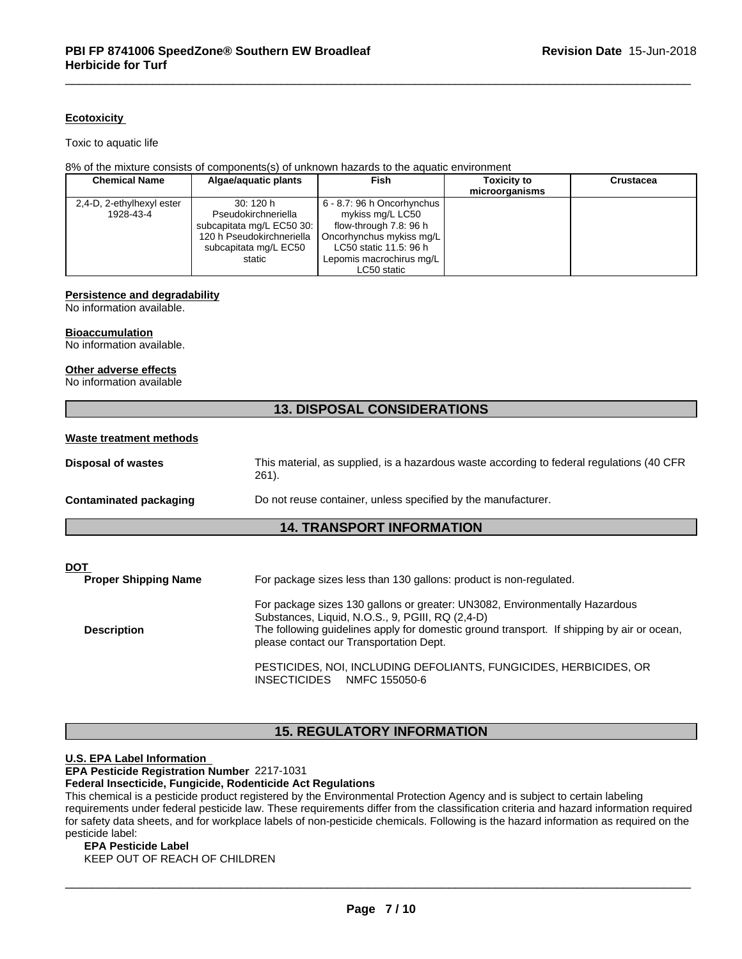#### **Ecotoxicity**

Toxic to aquatic life

#### 8% of the mixture consists of components(s) of unknown hazards to the aquatic environment

| <b>Chemical Name</b>      | Algae/aquatic plants      | Fish                       | <b>Toxicity to</b> | <b>Crustacea</b> |
|---------------------------|---------------------------|----------------------------|--------------------|------------------|
|                           |                           |                            | microorganisms     |                  |
| 2,4-D, 2-ethylhexyl ester | 30:120h                   | 6 - 8.7: 96 h Oncorhynchus |                    |                  |
| 1928-43-4                 | Pseudokirchneriella       | mykiss mg/L LC50           |                    |                  |
|                           | subcapitata mg/L EC50 30: | flow-through 7.8: 96 h     |                    |                  |
|                           | 120 h Pseudokirchneriella | Oncorhynchus mykiss mg/L   |                    |                  |
|                           | subcapitata mg/L EC50     | LC50 static 11.5: 96 h     |                    |                  |
|                           | static                    | Lepomis macrochirus mg/L   |                    |                  |
|                           |                           | LC50 static                |                    |                  |

#### **Persistence and degradability**

No information available.

#### **Bioaccumulation**

No information available.

#### **Other adverse effects**

No information available

### **13. DISPOSAL CONSIDERATIONS**

| Waste treatment methods |
|-------------------------|
|-------------------------|

### **14. TRANSPORT INFORMATION**

| DOT<br><b>Proper Shipping Name</b> | For package sizes less than 130 gallons: product is non-regulated.                                                                                                                                                                                                       |
|------------------------------------|--------------------------------------------------------------------------------------------------------------------------------------------------------------------------------------------------------------------------------------------------------------------------|
| <b>Description</b>                 | For package sizes 130 gallons or greater: UN3082, Environmentally Hazardous<br>Substances, Liquid, N.O.S., 9, PGIII, RQ (2,4-D)<br>The following guidelines apply for domestic ground transport. If shipping by air or ocean,<br>please contact our Transportation Dept. |
|                                    | PESTICIDES, NOI, INCLUDING DEFOLIANTS, FUNGICIDES, HERBICIDES, OR<br><b>INSECTICIDES</b><br>NMFC 155050-6                                                                                                                                                                |

### **15. REGULATORY INFORMATION**

### **U.S. EPA Label Information**

**EPA Pesticide Registration Number** 2217-1031

### **Federal Insecticide, Fungicide, Rodenticide Act Regulations**

This chemical is a pesticide product registered by the Environmental Protection Agency and is subject to certain labeling requirements under federal pesticide law. These requirements differ from the classification criteria and hazard information required for safety data sheets, and for workplace labels of non-pesticide chemicals. Following is the hazard information as required on the pesticide label:

#### **EPA Pesticide Label**

KEEP OUT OF REACH OF CHILDREN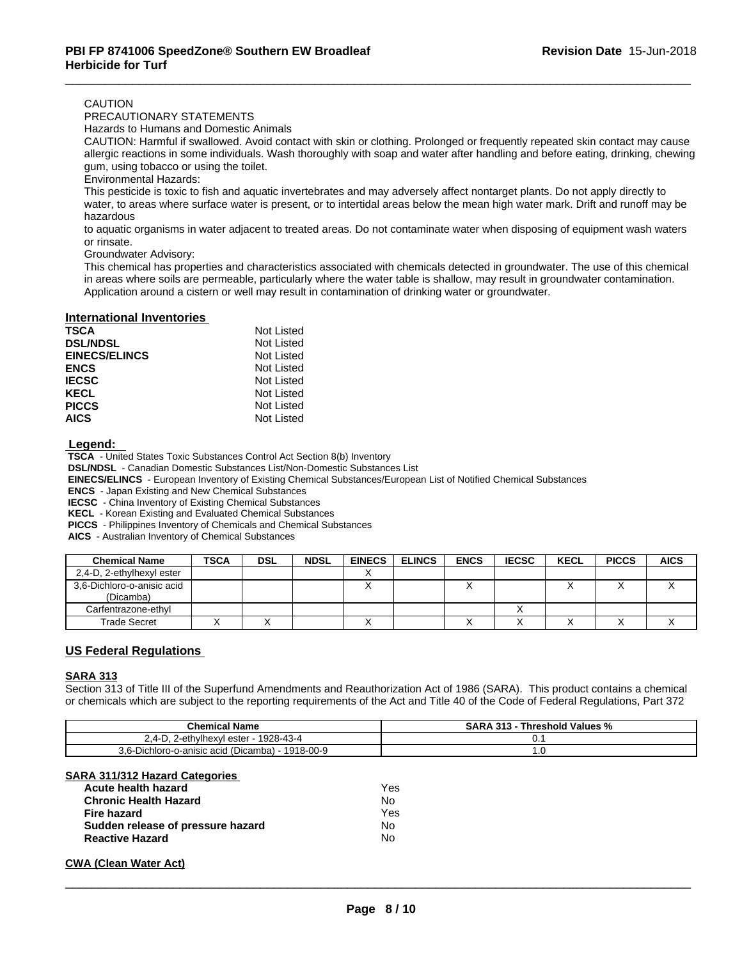#### CAUTION

PRECAUTIONARY STATEMENTS

Hazards to Humans and Domestic Animals

CAUTION: Harmful if swallowed. Avoid contact with skin or clothing. Prolonged or frequently repeated skin contact may cause allergic reactions in some individuals. Wash thoroughly with soap and water after handling and before eating, drinking, chewing gum, using tobacco or using the toilet.

Environmental Hazards:

This pesticide is toxic to fish and aquatic invertebrates and may adversely affect nontarget plants. Do not apply directly to water, to areas where surface water is present, or to intertidal areas below the mean high water mark. Drift and runoff may be hazardous

to aquatic organisms in water adjacent to treated areas. Do not contaminate water when disposing of equipment wash waters or rinsate.

Groundwater Advisory:

This chemical has properties and characteristics associated with chemicals detected in groundwater. The use of this chemical in areas where soils are permeable, particularly where the water table is shallow, may result in groundwater contamination. Application around a cistern or well may result in contamination of drinking water or groundwater.

#### **International Inventories**

| TSCA                 | Not Listed |
|----------------------|------------|
| <b>DSL/NDSL</b>      | Not Listed |
| <b>EINECS/ELINCS</b> | Not Listed |
| <b>ENCS</b>          | Not Listed |
| <b>IECSC</b>         | Not Listed |
| KECL                 | Not Listed |
| <b>PICCS</b>         | Not Listed |
| <b>AICS</b>          | Not Listed |

 **Legend:** 

 **TSCA** - United States Toxic Substances Control Act Section 8(b) Inventory

 **DSL/NDSL** - Canadian Domestic Substances List/Non-Domestic Substances List

 **EINECS/ELINCS** - European Inventory of Existing Chemical Substances/European List of Notified Chemical Substances

 **ENCS** - Japan Existing and New Chemical Substances

 **IECSC** - China Inventory of Existing Chemical Substances

 **KECL** - Korean Existing and Evaluated Chemical Substances

 **PICCS** - Philippines Inventory of Chemicals and Chemical Substances

 **AICS** - Australian Inventory of Chemical Substances

| <b>Chemical Name</b>                    | <b>TSCA</b> | <b>DSL</b> | <b>NDSL</b> | <b>EINECS</b> | <b>ELINCS</b> | <b>ENCS</b> | <b>IECSC</b> | <b>KECL</b> | <b>PICCS</b> | <b>AICS</b> |
|-----------------------------------------|-------------|------------|-------------|---------------|---------------|-------------|--------------|-------------|--------------|-------------|
| 2,4-D, 2-ethylhexyl ester               |             |            |             |               |               |             |              |             |              |             |
| 3,6-Dichloro-o-anisic acid<br>(Dicamba) |             |            |             | ↗             |               |             |              |             |              |             |
| Carfentrazone-ethyl                     |             |            |             |               |               |             |              |             |              |             |
| <b>Trade Secret</b>                     |             |            |             |               |               |             |              |             |              |             |

#### **US Federal Regulations**

#### **SARA 313**

Section 313 of Title III of the Superfund Amendments and Reauthorization Act of 1986 (SARA). This product contains a chemical or chemicals which are subject to the reporting requirements of the Act and Title 40 of the Code of Federal Regulations, Part 372

| <b>Chemical Name</b>                                                 | <b>SARA</b><br>Threshold Values %<br>. |
|----------------------------------------------------------------------|----------------------------------------|
| -ethvlhexvl ester<br>928-43-4<br>д.,<br>. .<br>J.<br><u>.</u>        |                                        |
| 1918-00-9<br>-<br>$3.6 -$<br>l (Dicamba).<br>-Dichloro-o-anisic acid | $\cdot$ . $\cup$                       |

#### **SARA 311/312 Hazard Categories**

| Acute health hazard               | Yes |
|-----------------------------------|-----|
| <b>Chronic Health Hazard</b>      | No  |
| Fire hazard                       | Yes |
| Sudden release of pressure hazard | N٥  |
| <b>Reactive Hazard</b>            | Nο  |

#### **CWA** (Clean Water Act)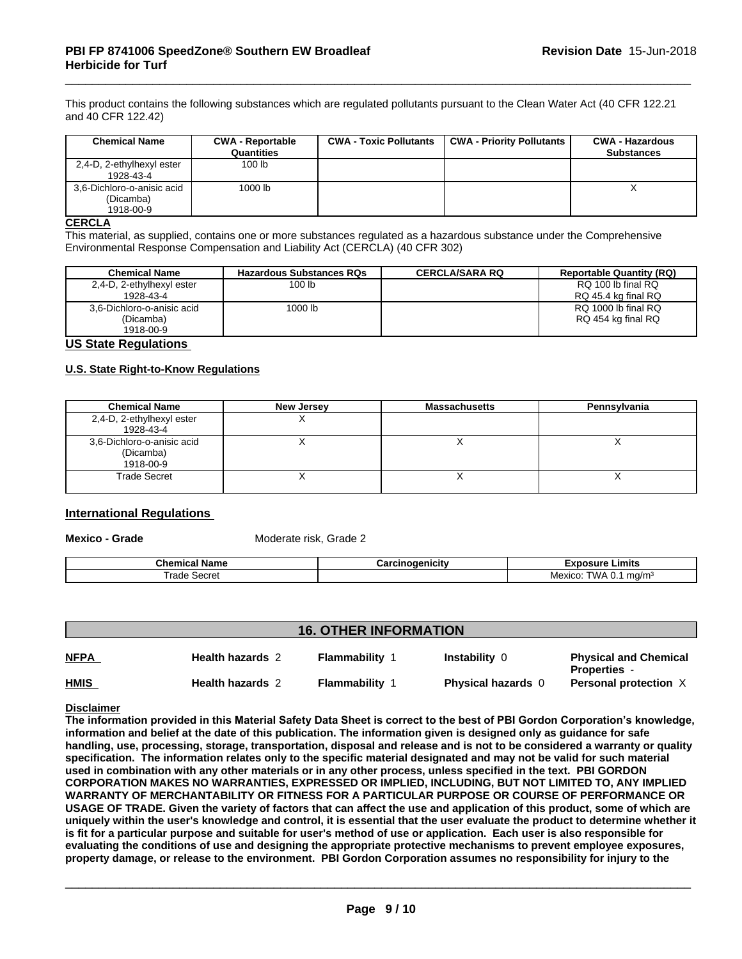This product contains the following substances which are regulated pollutants pursuant to the Clean Water Act (40 CFR 122.21 and 40 CFR 122.42)

| <b>Chemical Name</b>                                 | <b>CWA - Reportable</b><br>Quantities | <b>CWA - Toxic Pollutants</b> | <b>CWA - Priority Pollutants</b> | <b>CWA - Hazardous</b><br><b>Substances</b> |
|------------------------------------------------------|---------------------------------------|-------------------------------|----------------------------------|---------------------------------------------|
| 2,4-D, 2-ethylhexyl ester<br>1928-43-4               | 100 lb                                |                               |                                  |                                             |
| 3,6-Dichloro-o-anisic acid<br>(Dicamba)<br>1918-00-9 | 1000 lb                               |                               |                                  |                                             |

#### **CERCLA**

This material, as supplied, contains one or more substances regulated as a hazardous substance under the Comprehensive Environmental Response Compensation and Liability Act (CERCLA) (40 CFR 302)

| <b>Chemical Name</b>       | <b>Hazardous Substances RQs</b> | <b>CERCLA/SARA RQ</b> | <b>Reportable Quantity (RQ)</b> |
|----------------------------|---------------------------------|-----------------------|---------------------------------|
| 2,4-D, 2-ethylhexyl ester  | 100 <sub>lb</sub>               |                       | RQ 100 lb final RQ              |
| 1928-43-4                  |                                 |                       | RQ 45.4 kg final RQ             |
| 3.6-Dichloro-o-anisic acid | 1000 lb                         |                       | RQ 1000 lb final RQ             |
| (Dicamba)                  |                                 |                       | RQ 454 kg final RQ              |
| 1918-00-9                  |                                 |                       |                                 |

#### **US State Regulations**

#### **U.S. State Right-to-Know Regulations**

| <b>Chemical Name</b>                                 | New Jersey | <b>Massachusetts</b> | Pennsylvania |
|------------------------------------------------------|------------|----------------------|--------------|
| 2,4-D, 2-ethylhexyl ester<br>1928-43-4               |            |                      |              |
| 3,6-Dichloro-o-anisic acid<br>(Dicamba)<br>1918-00-9 |            |                      |              |
| <b>Trade Secret</b>                                  |            |                      |              |

### **International Regulations**

**Mexico - Grade** Moderate risk, Grade 2

| ame<br>ш                 | ICIt\<br><u>ысна</u> | umit.                         |
|--------------------------|----------------------|-------------------------------|
| $\sim$<br>⊶∩∩ ה<br>וסוטל |                      | ∆ /∧ו<br>ma/m<br>exico<br>. . |

### **16. OTHER INFORMATION**

| <b>NFPA</b> | <b>Health hazards 2</b> | <b>Flammability</b> | Instability 0             | <b>Physical and Chemical</b><br><b>Properties</b> -<br>Personal protection $X$ |
|-------------|-------------------------|---------------------|---------------------------|--------------------------------------------------------------------------------|
| <b>HMIS</b> | <b>Health hazards 2</b> | <b>Flammability</b> | <b>Physical hazards</b> 0 |                                                                                |

**Disclaimer**

The information provided in this Material Safety Data Sheet is correct to the best of PBI Gordon Corporation's knowledge, information and belief at the date of this publication. The information given is designed only as guidance for safe handling, use, processing, storage, transportation, disposal and release and is not to be considered a warranty or quality specification. The information relates only to the specific material designated and may not be valid for such material used in combination with any other materials or in any other process, unless specified in the text. PBI GORDON **CORPORATION MAKES NO WARRANTIES, EXPRESSED OR IMPLIED, INCLUDING, BUT NOT LIMITED TO, ANY IMPLIED WARRANTY OF MERCHANTABILITY OR FITNESS FOR A PARTICULAR PURPOSE OR COURSE OF PERFORMANCE OR** USAGE OF TRADE. Given the variety of factors that can affect the use and application of this product, some of which are uniquely within the user's knowledge and control, it is essential that the user evaluate the product to determine whether it is fit for a particular purpose and suitable for user's method of use or application. Each user is also responsible for **evaluating the conditions of use and designing the appropriate protective mechanisms to prevent employee exposures,** property damage, or release to the environment. PBI Gordon Corporation assumes no responsibility for injury to the